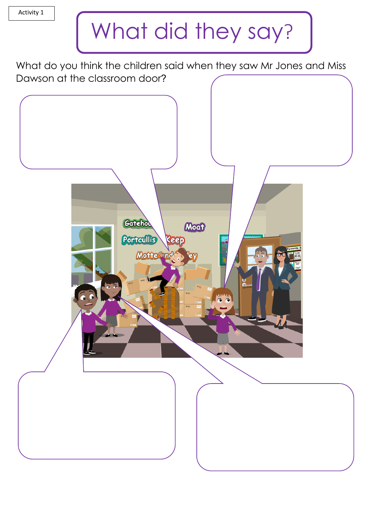## What did they say?

 Dawson at the classroom door?What do you think the children said when they saw Mr Jones and Miss

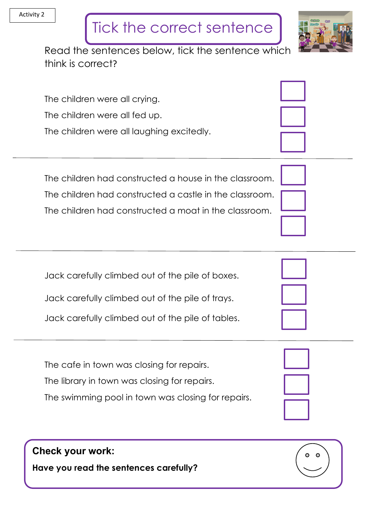## Tick the correct sentence

Read the sentences below, tick the sentence which think is correct?

The children were all crying. The children were all fed up. The children were all laughing excitedly.

The children had constructed a house in the classroom. The children had constructed a castle in the classroom. The children had constructed a moat in the classroom.

Jack carefully climbed out of the pile of boxes. Jack carefully climbed out of the pile of trays. Jack carefully climbed out of the pile of tables.

The cafe in town was closing for repairs. The library in town was closing for repairs. The swimming pool in town was closing for repairs.

**Check your work:** 

**Have you read the sentences carefully?**









 $\circ$  $\bullet$